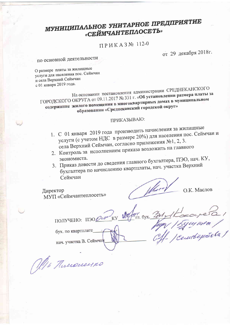## МУНИЦИПАЛЬНОЕ УНИТАРНОЕ ПРЕДПРИЯТИЕ «СЕЙМЧАНТЕПЛОСЕТЬ»

### ПРИКАЗ№ 112-0

от 29 декабря 2018г.

### по основной деятельности

О размере платы за жилищные услуги для населения пос. Сеймчан и села Верхний Сеймчан с 01 января 2019 года.

На основании постановления администрации СРЕДНЕКАНСКОГО ГОРОДСКОГО ОКРУГА от 09.11.2017 № 331 г. «Об установлении размера платы за содержание жилого помещения в многоквартирных домах в муниципальном образовании «Среднеканский городской округ»

#### ПРИКАЗЫВАЮ:

- 1. С 01 января 2019 года производить начисления за жилищные услуги (с учетом НДС в размере 20%) для населения пос. Сеймчан и села Верхний Сеймчан, согласно приложения №1, 2, 3.
- 2. Контроль за исполнением приказа возложить на главного
- 3. Приказ довести до сведения главного бухгалтера, ПЭО, нач. КУ, бухгалтера по начислению квартплаты, нач. участка Верхний Сеймчан

Директор МУП «Сеймчантеплосеть»

О.К. Маслов

M. Koroupero 1<br>Vugy 15 guy nuo 1<br>Il - Cemetique 5069 ПОЛУЧЕНО: ПЭОДОРО КУ ДОДА  $T$ л. бух.  $\mathcal{M}_{L}$ бух. по квартплате\_ нач. участка В. Сеймчан

Mr Thumourno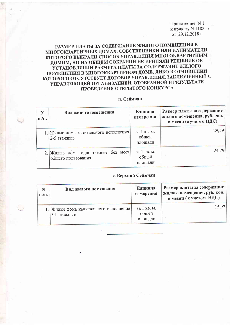Приложение N 1 к приказу N 1182 - о от 29.12.2018 г.

#### РАЗМЕР ПЛАТЫ ЗА СОДЕРЖАНИЕ ЖИЛОГО ПОМЕЩЕНИЯ В МНОГОКВАРТИРНЫХ ДОМАХ, СОБСТВЕННИКИ ИЛИ НАНИМАТЕЛИ КОТОРОГО ВЫБРАЛИ СПОСОБ УПРАВЛЕНИЯ МНОГОКВАРТИРНЫМ ДОМОМ, НО НА ОБЩЕМ СОБРАНИИ НЕ ПРИНЯЛИ РЕШЕНИЕ ОБ УСТАНОВЛЕНИИ РАЗМЕРА ПЛАТЫ ЗА СОДЕРЖАНИЕ ЖИЛОГО ПОМЕЩЕНИЯ В МНОГОКВАРТИРНОМ ДОМЕ, ЛИБО В ОТНОШЕНИИ КОТОРОГО ОТСУТСТВУЕТ ДОГОВОР УПРАВЛЕНИЯ, ЗАКЛЮЧЕННЫЙ С УПРАВЛЯЮЩЕЙ ОРГАНИЗАЦИЕЙ, ОТОБРАННОЙ В РЕЗУЛЬТАТЕ ПРОВЕДЕНИЯ ОТКРЫТОГО КОНКУРСА

#### п. Сеймчан

| N<br>$\Pi$ ./ $\Pi$ . | Вид жилого помещения                                     | Единица<br>измерения            | Размер платы за содержание<br>жилого помещения, руб. коп.<br>в месяц (с учетом НДС) |
|-----------------------|----------------------------------------------------------|---------------------------------|-------------------------------------------------------------------------------------|
|                       | 1. Жилые дома капитального исполнения<br>2-5 этажные     | за 1 кв. м.<br>общей<br>плошади | 29,59                                                                               |
|                       | 2. Жилые дома одноэтажные без мест<br>общего пользования | за 1 кв. м.<br>общей<br>площади | 24,79                                                                               |

#### с. Верхний Сеймчан

| N<br>п./п. | Вид жилого помещения                                 | Единица<br>измерения            | Размер платы за содержание<br>' жилого помещения, руб. коп.  <br>в месяц (с учетом НДС) |
|------------|------------------------------------------------------|---------------------------------|-----------------------------------------------------------------------------------------|
|            | 1. Жилые дома капитального исполнения<br>34- этажные | за 1 кв. м.<br>общей<br>площади | 15.97                                                                                   |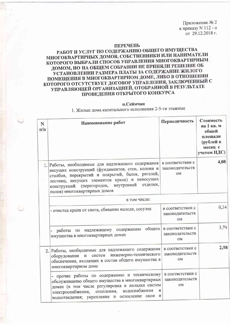Приложение № 2 к приказу N 112 - о от 29.12.2018 г.

#### **ПЕРЕЧЕНЬ**

#### РАБОТ И УСЛУГ ПО СОДЕРЖАНИЮ ОБЩЕГО ИМУЩЕСТВА МНОГОКВАРТИРНЫХ ДОМОВ, СОБСТВЕННИКИ ИЛИ НАНИМАТЕЛИ КОТОРОГО ВЫБРАЛИ СПОСОБ УПРАВЛЕНИЯ МНОГОКВАРТИРНЫМ ДОМОМ, НО НА ОБЩЕМ СОБРАНИИ НЕ ПРИНЯЛИ РЕШЕНИЕ ОБ УСТАНОВЛЕНИИ РАЗМЕРА ПЛАТЫ ЗА СОДЕРЖАНИЕ ЖИЛОГО ПОМЕЩЕНИЯ В МНОГОКВАРТИРНОМ ДОМЕ, ЛИБО В ОТНОШЕНИИ КОТОРОГО ОТСУТСТВУЕТ ДОГОВОР УПРАВЛЕНИЯ, ЗАКЛЮЧЕННЫЙ С УПРАВЛЯЮЩЕЙ ОРГАНИЗАЦИЕЙ, ОТОБРАННОЙ В РЕЗУЛЬТАТЕ ПРОВЕДЕНИЯ ОТКРЫТОГО КОНКУРСА

#### п.Сеймчан

1. Жилые дома капитального исполнения 2-5-ти этажные

| $\mathbf N$<br>$\Pi/\Pi$ | Наименование работ                                                                                                                                                                                                                                                                        | Периодичность                             | Стоимость<br>на 1 кв. м<br>общей<br>площади<br>(рублей в<br>месяц с<br>учетом НДС) |
|--------------------------|-------------------------------------------------------------------------------------------------------------------------------------------------------------------------------------------------------------------------------------------------------------------------------------------|-------------------------------------------|------------------------------------------------------------------------------------|
|                          | 1. Работы, необходимые для надлежащего содержания<br>несущих конструкций (фундаментов, стен, колонн и<br>столбов, перекрытий и покрытий, балок, ригелей,<br>лестниц, несущих элементов крыш) и ненесущих<br>конструкций (перегородок, внутренней отделки,<br>полов) многоквартирных домов | в соответствии с<br>законодательств<br>OM | 4,08                                                                               |
|                          | в том числе:                                                                                                                                                                                                                                                                              |                                           |                                                                                    |
|                          | - очистка крыш от снега, сбивание наледи, сосулек                                                                                                                                                                                                                                         | в соответствии с<br>законодательств<br>OM | 0,34                                                                               |
|                          | общего<br>содержанию<br>работы по надлежащему<br>имущества в многоквартирных домах                                                                                                                                                                                                        | в соответствии с<br>законодательств<br>0M | 3,74                                                                               |
|                          | 2. Работы, необходимые для надлежащего содержания<br>инженерно-технического<br>оборудования и систем<br>обеспечения, входящих в состав общего имущества в<br>многоквартирном доме                                                                                                         | в соответствии с<br>законодательств<br>OM | 2,98                                                                               |
|                          | - прочие работы по содержанию и техническому<br>обслуживанию общего имущества в многоквартирных<br>домах (в том числе регулировка и наладка систем<br>отопления, водоснабжения<br>И<br>электроснабжения,<br>водоотведения; укрепление и остекление окон и                                 | в соответствии с<br>законодательств<br>OM |                                                                                    |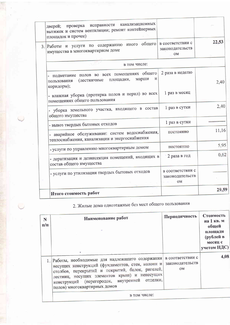|     | канализационных<br>исправности<br>проверка<br>дверей;<br>вытяжек и систем вентиляции; ремонт контейнерных<br>площадок и прочее) |                                                  |       |
|-----|---------------------------------------------------------------------------------------------------------------------------------|--------------------------------------------------|-------|
| 3.1 | общего<br>Работы и услуги по содержанию иного<br>имущества в многоквартирном доме                                               | в соответствии с<br>законодательств<br><b>OM</b> | 22,53 |
|     | в том числе:                                                                                                                    |                                                  |       |
|     | подметание полов во всех помещениях общего<br>марши<br>и<br>площадки,<br>(лестничные<br>пользования<br>коридоры);               | 2 раза в неделю                                  | 2,40  |
|     | - влажная уборка (протирка полов и перил) во всех<br>помещениях общего пользования                                              | 1 раз в месяц                                    |       |
|     | уборка земельного участка, входящего в состав<br>общего имущества                                                               | 1 раз в сутки                                    | 2,40  |
|     | - вывоз твердых бытовых отходов                                                                                                 | 1 раз в сутки                                    |       |
|     | аварийное обслуживание: систем водоснабжения,<br>теплоснабжения, канализации и энергоснабжения                                  | постоянно                                        | 11,16 |
|     | - услуги по управлению многоквартирным домом                                                                                    | постоянно                                        | 5,95  |
|     | - дератизация и дезинсекция помещений, входящих в<br>состав общего имущества                                                    | 2 раза в год                                     | 0,62  |
|     | - услуги по утилизации твердых бытовых отходов                                                                                  | в соответствии с<br>законодательств<br><b>OM</b> |       |
|     | Итого стоимость работ                                                                                                           |                                                  | 29,59 |

### 2. Жилые дома одноэтажные без мест общего пользования

|                                                                                                                                                                                                                                                                                           | месяц с<br>учетом НДС)                                   |
|-------------------------------------------------------------------------------------------------------------------------------------------------------------------------------------------------------------------------------------------------------------------------------------------|----------------------------------------------------------|
| 1. Работы, необходимые для надлежащего содержания<br>несущих конструкций (фундаментов, стен, колонн и<br>столбов, перекрытий и покрытий, балок, ригелей,<br>лестниц, несущих элементов крыш) и ненесущих<br>конструкций (перегородок, внутренней отделки,<br>полов) многоквартирных домов | 4,08<br>в соответствии с<br>законодательств<br><b>OM</b> |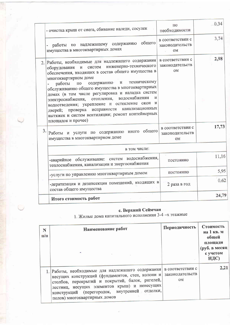|    | - очистка крыш от снега, сбивание наледи, сосулек                                                                                                                                                                                                                                                                                                                                                                                                                                                                                                                                                | ПО<br>необходимости                              | 0,34  |
|----|--------------------------------------------------------------------------------------------------------------------------------------------------------------------------------------------------------------------------------------------------------------------------------------------------------------------------------------------------------------------------------------------------------------------------------------------------------------------------------------------------------------------------------------------------------------------------------------------------|--------------------------------------------------|-------|
|    | общего<br>содержанию<br>надлежащему<br>работы<br>$\Pi0$<br>имущества в многоквартирных домах                                                                                                                                                                                                                                                                                                                                                                                                                                                                                                     | в соответствии с<br>законодательств<br>0M        | 3,74  |
|    | Работы, необходимые для надлежащего содержания<br>инженерно-технического<br>систем<br>оборудования<br>обеспечения, входящих в состав общего имущества в<br>многоквартирном доме<br>техническому<br>содержанию<br>и<br>работы<br>$\Pi 0$<br>обслуживанию общего имущества в многоквартирных<br>домах (в том числе регулировка и наладка систем<br>водоснабжения<br>И<br>отопления,<br>электроснабжения,<br>окон<br>И<br>водоотведения; укрепление и остекление<br>канализационных<br>исправности<br>проверка<br>дверей;<br>вытяжек и систем вентиляции; ремонт контейнерных<br>площадок и прочее) | в соответствии с<br>законодательств<br><b>OM</b> | 2,98  |
| 3. | общего<br>содержанию иного<br>услуги по<br>Работы и<br>имущества в многоквартирном доме                                                                                                                                                                                                                                                                                                                                                                                                                                                                                                          | в соответствии с<br>законодательств<br>OM        | 17,73 |
|    | в том числе:                                                                                                                                                                                                                                                                                                                                                                                                                                                                                                                                                                                     |                                                  |       |
|    | -аварийное обслуживание: систем водоснабжения,<br>теплоснабжения, канализации и энергоснабжения                                                                                                                                                                                                                                                                                                                                                                                                                                                                                                  | постоянно                                        | 11,16 |
|    | -услуги по управлению многоквартирным домом                                                                                                                                                                                                                                                                                                                                                                                                                                                                                                                                                      | постоянно                                        | 5,95  |
|    | -дератизация и дезинсекция помещений, входящих в<br>состав общего имущества                                                                                                                                                                                                                                                                                                                                                                                                                                                                                                                      | 2 раза в год                                     | 0,62  |
|    | Итого стоимость работ                                                                                                                                                                                                                                                                                                                                                                                                                                                                                                                                                                            |                                                  | 24,79 |

с. Верхний Сеймчан<br>1. Жилые дома капитального исполнения 3-4 -х этажные

| N<br>$\Pi/\Pi$ | Наименование работ<br>Ħ.                                                                                                                                                                                                                                                                  | Периодичность                             | Стоимость<br>на 1 кв. м<br>общей<br>площади<br>(руб. в месяц<br>с учетом<br>НДС) |
|----------------|-------------------------------------------------------------------------------------------------------------------------------------------------------------------------------------------------------------------------------------------------------------------------------------------|-------------------------------------------|----------------------------------------------------------------------------------|
|                | 1. Работы, необходимые для надлежащего содержания<br>несущих конструкций (фундаментов, стен, колонн и<br>столбов, перекрытий и покрытий, балок, ригелей,<br>лестниц, несущих элементов крыш) и ненесущих<br>конструкций (перегородок, внутренней отделки,<br>полов) многоквартирных домов | в соответствии с<br>законодательств<br>OM | 2,21                                                                             |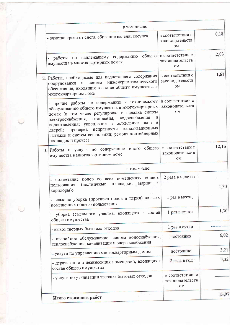|                  | в том числе:                                                                                                                                                                                                                                                                                                                                                                                 |                                                  | 0,18  |
|------------------|----------------------------------------------------------------------------------------------------------------------------------------------------------------------------------------------------------------------------------------------------------------------------------------------------------------------------------------------------------------------------------------------|--------------------------------------------------|-------|
|                  | - очистка крыш от снега, сбивание наледи, сосулек                                                                                                                                                                                                                                                                                                                                            | в соответствии с<br>законодательств<br><b>OM</b> |       |
|                  | общего<br>надлежащему содержанию<br>работы по<br>имущества в многоквартирных домах                                                                                                                                                                                                                                                                                                           | в соответствии с<br>законодательств<br><b>OM</b> | 2,03  |
| $\overline{2}$ . | Работы, необходимые для надлежащего содержания<br>инженерно-технического<br>систем<br>оборудования и<br>обеспечения, входящих в состав общего имущества в<br>многоквартирном доме                                                                                                                                                                                                            | в соответствии с<br>законодательств<br><b>OM</b> | 1,61  |
|                  | - прочие работы по содержанию и техническому<br>обслуживанию общего имущества в многоквартирных<br>домах (в том числе регулировка и наладка систем<br>отопления, водоснабжения<br>И<br>электроснабжения,<br>водоотведения; укрепление и остекление окон<br>и<br>канализационных<br>проверка исправности<br>дверей;<br>вытяжек и систем вентиляции; ремонт контейнерных<br>площадок и прочее) | в соответствии с<br>законодательств<br>OM        |       |
|                  | иного общего<br>3. Работы и услуги по содержанию<br>имущества в многоквартирном доме                                                                                                                                                                                                                                                                                                         | в соответствии с<br>законодательств<br>OM        | 12,15 |
|                  | в том числе:                                                                                                                                                                                                                                                                                                                                                                                 |                                                  |       |
|                  | подметание полов во всех помещениях общего<br>И<br>марши<br>площадки,<br>(лестничные<br>пользования<br>коридоры);                                                                                                                                                                                                                                                                            | 2 раза в неделю                                  | 1,30  |
|                  | - влажная уборка (протирка полов и перил) во всех<br>помещениях общего пользования                                                                                                                                                                                                                                                                                                           | 1 раз в месяц                                    |       |
|                  | уборка земельного участка, входящего в состав<br>общего имущества                                                                                                                                                                                                                                                                                                                            | 1 раз в сутки                                    | 1,30  |
|                  | - вывоз твердых бытовых отходов                                                                                                                                                                                                                                                                                                                                                              | 1 раз в сутки                                    |       |
|                  | аварийное обслуживание: систем водоснабжения,<br>теплоснабжения, канализации и энергоснабжения                                                                                                                                                                                                                                                                                               | постоянно                                        | 6,02  |
|                  | - услуги по управлению многоквартирным домом                                                                                                                                                                                                                                                                                                                                                 | постоянно                                        | 3,21  |
|                  | - дератизация и дезинсекция помещений, входящих в<br>состав общего имущества                                                                                                                                                                                                                                                                                                                 | 2 раза в год                                     | 0,32  |
|                  | - услуги по утилизации твердых бытовых отходов                                                                                                                                                                                                                                                                                                                                               | в соответствии с<br>законодательств<br>OM        |       |
|                  | Итого стоимость работ                                                                                                                                                                                                                                                                                                                                                                        |                                                  | 15,97 |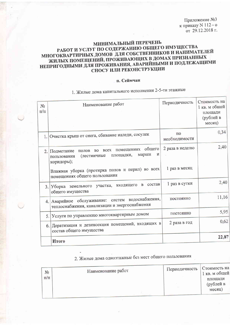Приложение №3 к приказу <br/>N 112 - о от 29.12.2018 г.

### МИНИМАЛЬНЫЙ ПЕРЕЧЕНЬ РАБОТ И УСЛУГ ПО СОДЕРЖАНИЮ ОБЩЕГО ИМУЩЕСТВА МНОГОКВАРТИРНЫХ ДОМОВ ДЛЯ СОБСТВЕННИКОВ И НАНИМАТЕЛЕЙ ЖИЛЫХ ПОМЕЩЕНИЙ, ПРОЖИВАЮЩИХ В ДОМАХ ПРИЗНАННЫХ НЕПРИГОДНЫМИ ДЛЯ ПРОЖИВАНИЯ, АВАРИЙНЫМИ И ПОДЛЕЖАЩИМИ СНОСУ ИЛИ РЕКОНСТРУКЦИИ

#### п. Сеймчан

### 1. Жилые дома капитального исполнения 2-5-ти этажные

| $N_2$<br>$\Pi/\Pi$ | Наименование работ                                                                                                      | Периодичность       | Стоимость на<br>1 кв. м общей<br>площади<br>(рублей в<br>месяц) |
|--------------------|-------------------------------------------------------------------------------------------------------------------------|---------------------|-----------------------------------------------------------------|
| 1.1                | Очистка крыш от снега, сбивание наледи, сосулек                                                                         | ПО<br>необходимости | 0,34                                                            |
| 2.                 | во всех помещениях общего<br>полов<br>Подметание<br>и<br>марши<br>площадки,<br>(лестничные<br>пользования<br>коридоры); | 2 раза в неделю     | 2,40                                                            |
|                    | Влажная уборка (протирка полов и перил) во всех<br>помещениях общего пользования                                        | 1 раз в месяц       |                                                                 |
| 3.1                | состав<br>B<br>входящего<br>Уборка земельного участка,<br>общего имущества                                              | 1 раз в сутки       | 2,40                                                            |
| 4.1                | Аварийное обслуживание: систем водоснабжения,<br>теплоснабжения, канализации и энергоснабжения                          | постоянно           | 11,16                                                           |
| 5.                 | Услуги по управлению многоквартирным домом                                                                              | постоянно           | 5,95                                                            |
|                    | 6. Дератизация и дезинсекция помещений, входящих в<br>состав общего имущества                                           | 2 раза в год        | 0,62                                                            |
|                    | Итого                                                                                                                   |                     | 22,87                                                           |

### 2. Жилые дома одноэтажные без мест общего пользования

| $N_2$<br>$\Pi/\Pi$ | Наименование работ | Периодичность | Стоимость на<br>1 кв. м общей<br>площади<br>(рублей в<br>месяц) |
|--------------------|--------------------|---------------|-----------------------------------------------------------------|
|                    |                    |               |                                                                 |